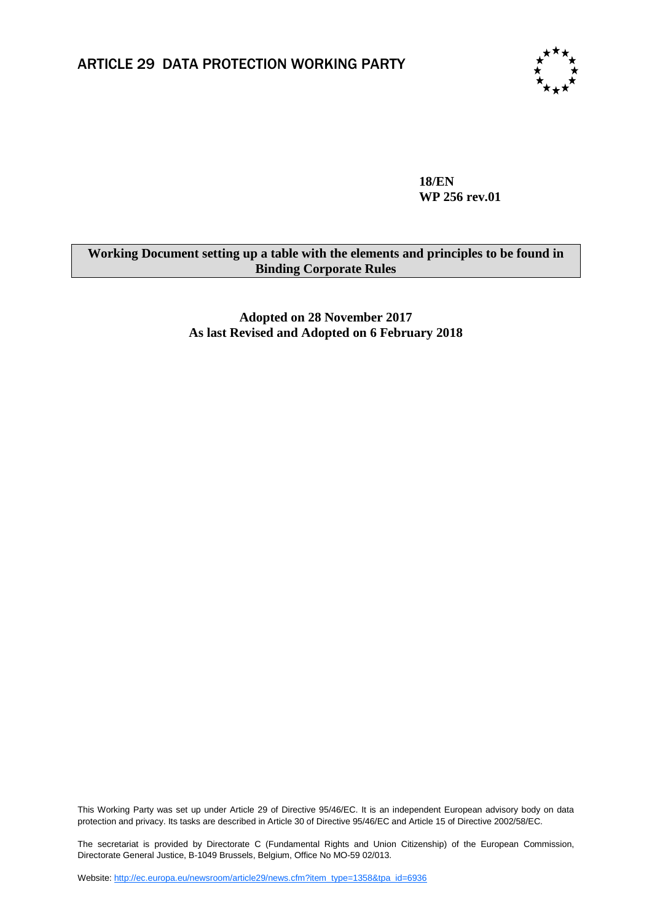

**18/EN WP 256 rev.01**

## **Working Document setting up a table with the elements and principles to be found in Binding Corporate Rules**

**Adopted on 28 November 2017 As last Revised and Adopted on 6 February 2018**

This Working Party was set up under Article 29 of Directive 95/46/EC. It is an independent European advisory body on data protection and privacy. Its tasks are described in Article 30 of Directive 95/46/EC and Article 15 of Directive 2002/58/EC.

The secretariat is provided by Directorate C (Fundamental Rights and Union Citizenship) of the European Commission, Directorate General Justice, B-1049 Brussels, Belgium, Office No MO-59 02/013.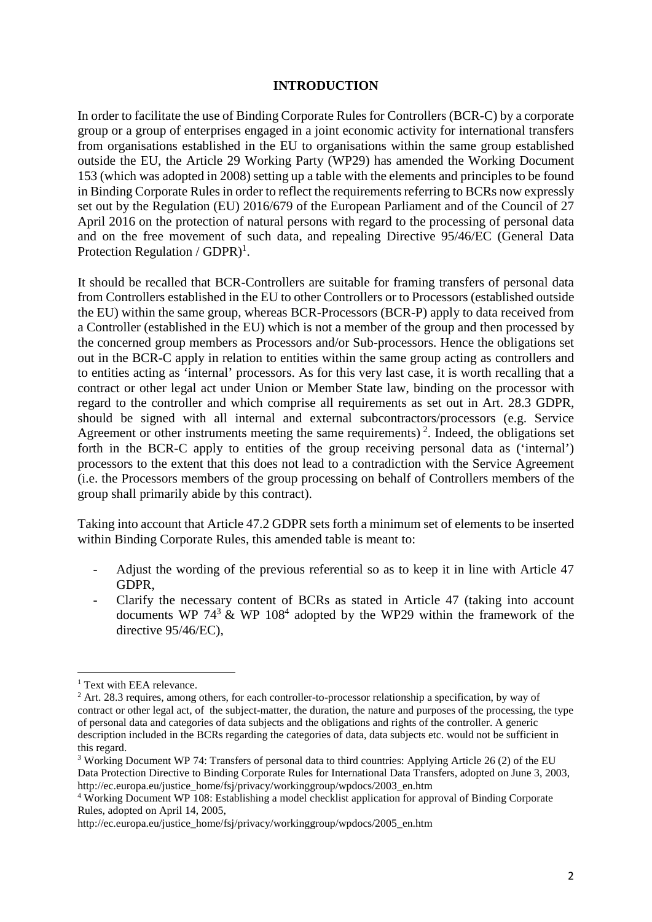#### **INTRODUCTION**

In order to facilitate the use of Binding Corporate Rules for Controllers (BCR-C) by a corporate group or a group of enterprises engaged in a joint economic activity for international transfers from organisations established in the EU to organisations within the same group established outside the EU, the Article 29 Working Party (WP29) has amended the Working Document 153 (which was adopted in 2008) setting up a table with the elements and principles to be found in Binding Corporate Rules in order to reflect the requirements referring to BCRs now expressly set out by the Regulation (EU) 2016/679 of the European Parliament and of the Council of 27 April 2016 on the protection of natural persons with regard to the processing of personal data and on the free movement of such data, and repealing Directive 95/46/EC (General Data Protection Regulation /  $GDPR$ <sup>1</sup>.

It should be recalled that BCR-Controllers are suitable for framing transfers of personal data from Controllers established in the EU to other Controllers or to Processors (established outside the EU) within the same group, whereas BCR-Processors (BCR-P) apply to data received from a Controller (established in the EU) which is not a member of the group and then processed by the concerned group members as Processors and/or Sub-processors. Hence the obligations set out in the BCR-C apply in relation to entities within the same group acting as controllers and to entities acting as 'internal' processors. As for this very last case, it is worth recalling that a contract or other legal act under Union or Member State law, binding on the processor with regard to the controller and which comprise all requirements as set out in Art. 28.3 GDPR, should be signed with all internal and external subcontractors/processors (e.g. Service Agreement or other instruments meeting the same requirements)<sup>2</sup>. Indeed, the obligations set forth in the BCR-C apply to entities of the group receiving personal data as ('internal') processors to the extent that this does not lead to a contradiction with the Service Agreement (i.e. the Processors members of the group processing on behalf of Controllers members of the group shall primarily abide by this contract).

Taking into account that Article 47.2 GDPR sets forth a minimum set of elements to be inserted within Binding Corporate Rules, this amended table is meant to:

- Adjust the wording of the previous referential so as to keep it in line with Article 47 GDPR,
- Clarify the necessary content of BCRs as stated in Article 47 (taking into account documents WP  $74<sup>3</sup>$  & WP  $108<sup>4</sup>$  adopted by the WP29 within the framework of the directive 95/46/EC),

**.** 

<sup>&</sup>lt;sup>1</sup> Text with EEA relevance.

<sup>&</sup>lt;sup>2</sup> Art. 28.3 requires, among others, for each controller-to-processor relationship a specification, by way of contract or other legal act, of the subject-matter, the duration, the nature and purposes of the processing, the type of personal data and categories of data subjects and the obligations and rights of the controller. A generic description included in the BCRs regarding the categories of data, data subjects etc. would not be sufficient in this regard.

<sup>&</sup>lt;sup>3</sup> Working Document WP 74: Transfers of personal data to third countries: Applying Article 26 (2) of the EU Data Protection Directive to Binding Corporate Rules for International Data Transfers, adopted on June 3, 2003, [http://ec.europa.eu/justice\\_home/fsj/privacy/workinggroup/wpdocs/2003\\_en.htm](http://ec.europa.eu/justice_home/fsj/privacy/workinggroup/wpdocs/2003_en.htm)

<sup>4</sup> Working Document WP 108: Establishing a model checklist application for approval of Binding Corporate Rules, adopted on April 14, 2005,

http://ec.europa.eu/justice\_home/fsj/privacy/workinggroup/wpdocs/2005\_en.htm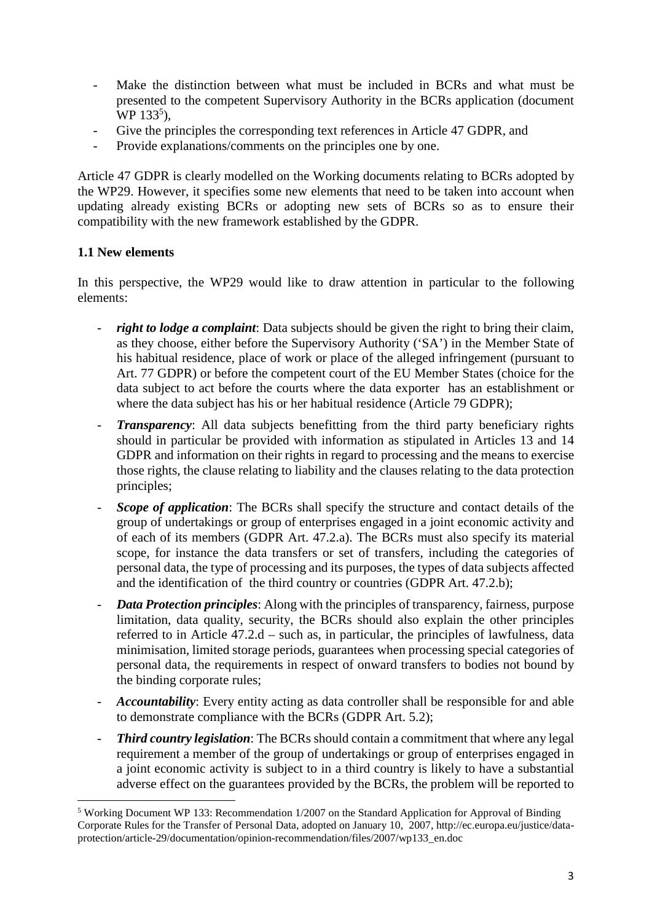- Make the distinction between what must be included in BCRs and what must be presented to the competent Supervisory Authority in the BCRs application (document  $WP 133^5$ ),
- Give the principles the corresponding text references in Article 47 GDPR, and
- Provide explanations/comments on the principles one by one.

Article 47 GDPR is clearly modelled on the Working documents relating to BCRs adopted by the WP29. However, it specifies some new elements that need to be taken into account when updating already existing BCRs or adopting new sets of BCRs so as to ensure their compatibility with the new framework established by the GDPR.

## **1.1 New elements**

<u>.</u>

In this perspective, the WP29 would like to draw attention in particular to the following elements:

- *right to lodge a complaint*: Data subjects should be given the right to bring their claim, as they choose, either before the Supervisory Authority ('SA') in the Member State of his habitual residence, place of work or place of the alleged infringement (pursuant to Art. 77 GDPR) or before the competent court of the EU Member States (choice for the data subject to act before the courts where the data exporter has an establishment or where the data subject has his or her habitual residence (Article 79 GDPR);
- *Transparency*: All data subjects benefitting from the third party beneficiary rights should in particular be provided with information as stipulated in Articles 13 and 14 GDPR and information on their rights in regard to processing and the means to exercise those rights, the clause relating to liability and the clauses relating to the data protection principles;
- *Scope of application*: The BCRs shall specify the structure and contact details of the group of undertakings or group of enterprises engaged in a joint economic activity and of each of its members (GDPR Art. 47.2.a). The BCRs must also specify its material scope, for instance the data transfers or set of transfers, including the categories of personal data, the type of processing and its purposes, the types of data subjects affected and the identification of the third country or countries (GDPR Art. 47.2.b);
- *Data Protection principles*: Along with the principles of transparency, fairness, purpose limitation, data quality, security, the BCRs should also explain the other principles referred to in Article 47.2.d – such as, in particular, the principles of lawfulness, data minimisation, limited storage periods, guarantees when processing special categories of personal data, the requirements in respect of onward transfers to bodies not bound by the binding corporate rules;
- *Accountability*: Every entity acting as data controller shall be responsible for and able to demonstrate compliance with the BCRs (GDPR Art. 5.2);
- *Third country legislation*: The BCRs should contain a commitment that where any legal requirement a member of the group of undertakings or group of enterprises engaged in a joint economic activity is subject to in a third country is likely to have a substantial adverse effect on the guarantees provided by the BCRs, the problem will be reported to

<sup>5</sup> Working Document WP 133: Recommendation 1/2007 on the Standard Application for Approval of Binding Corporate Rules for the Transfer of Personal Data, adopted on January 10, 2007, http://ec.europa.eu/justice/dataprotection/article-29/documentation/opinion-recommendation/files/2007/wp133\_en.doc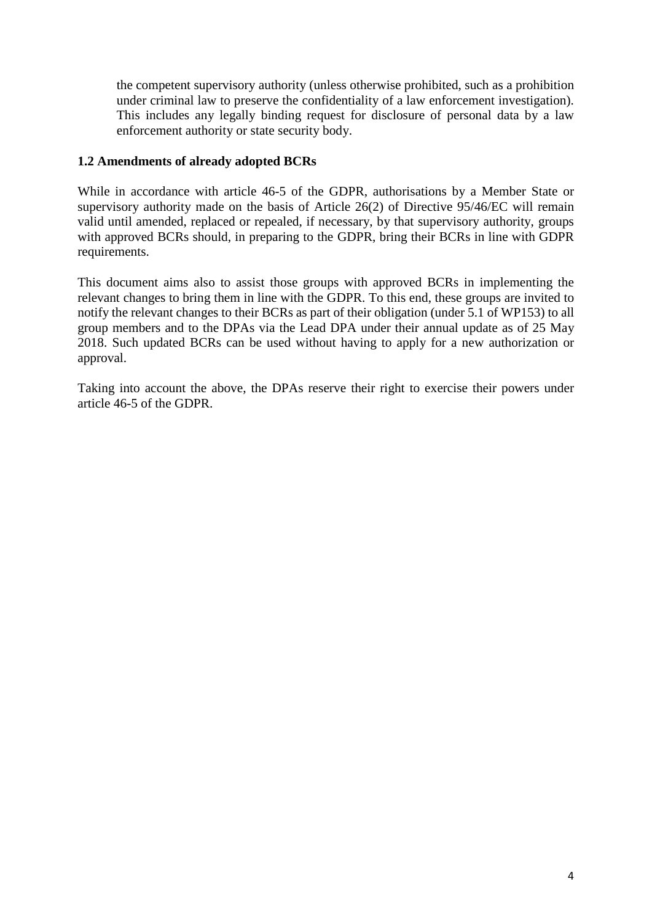the competent supervisory authority (unless otherwise prohibited, such as a prohibition under criminal law to preserve the confidentiality of a law enforcement investigation). This includes any legally binding request for disclosure of personal data by a law enforcement authority or state security body.

#### **1.2 Amendments of already adopted BCRs**

While in accordance with article 46-5 of the GDPR, authorisations by a Member State or supervisory authority made on the basis of Article 26(2) of Directive 95/46/EC will remain valid until amended, replaced or repealed, if necessary, by that supervisory authority, groups with approved BCRs should, in preparing to the GDPR, bring their BCRs in line with GDPR requirements.

This document aims also to assist those groups with approved BCRs in implementing the relevant changes to bring them in line with the GDPR. To this end, these groups are invited to notify the relevant changes to their BCRs as part of their obligation (under 5.1 of WP153) to all group members and to the DPAs via the Lead DPA under their annual update as of 25 May 2018. Such updated BCRs can be used without having to apply for a new authorization or approval.

Taking into account the above, the DPAs reserve their right to exercise their powers under article 46-5 of the GDPR.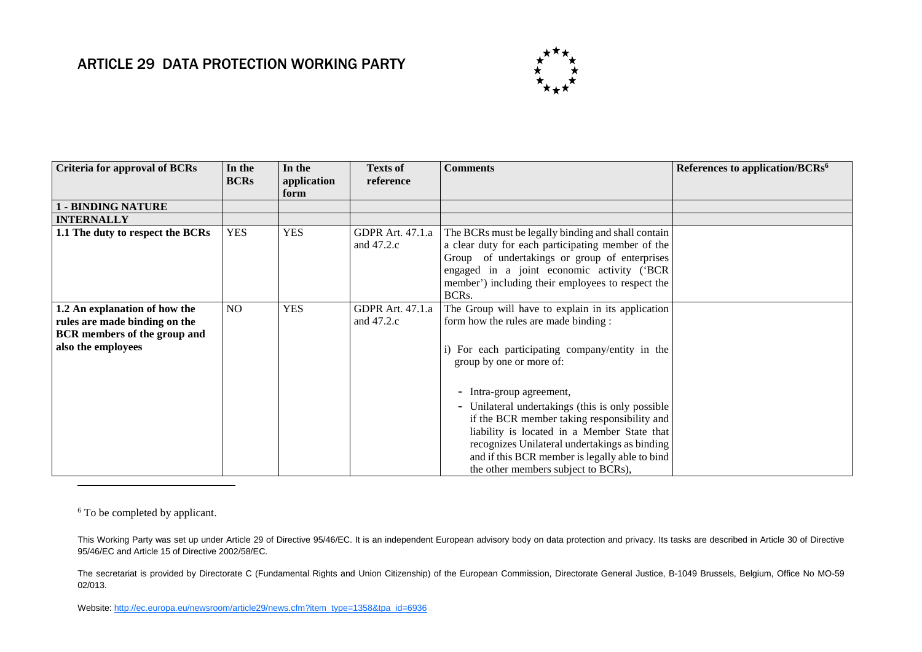# ARTICLE 29 DATA PROTECTION WORKING PARTY



| Criteria for approval of BCRs                                                                                               | In the<br><b>BCRs</b> | In the<br>application<br>form | <b>Texts of</b><br>reference            | <b>Comments</b>                                                                                                                                                                                                                                                                                                       | References to application/BCRs <sup>6</sup> |
|-----------------------------------------------------------------------------------------------------------------------------|-----------------------|-------------------------------|-----------------------------------------|-----------------------------------------------------------------------------------------------------------------------------------------------------------------------------------------------------------------------------------------------------------------------------------------------------------------------|---------------------------------------------|
| - BINDING NATURE                                                                                                            |                       |                               |                                         |                                                                                                                                                                                                                                                                                                                       |                                             |
| <b>INTERNALLY</b>                                                                                                           |                       |                               |                                         |                                                                                                                                                                                                                                                                                                                       |                                             |
| 1.1 The duty to respect the BCRs                                                                                            | <b>YES</b>            | <b>YES</b>                    | <b>GDPR</b> Art. 47.1.a<br>and $47.2.c$ | The BCRs must be legally binding and shall contain<br>a clear duty for each participating member of the<br>Group of undertakings or group of enterprises<br>engaged in a joint economic activity ('BCR<br>member') including their employees to respect the<br>BCR <sub>s</sub> .                                     |                                             |
| 1.2 An explanation of how the<br>rules are made binding on the<br><b>BCR</b> members of the group and<br>also the employees | N <sub>O</sub>        | <b>YES</b>                    | <b>GDPR</b> Art. 47.1.a<br>and $47.2.c$ | The Group will have to explain in its application<br>form how the rules are made binding:<br>i) For each participating company/entity in the<br>group by one or more of:                                                                                                                                              |                                             |
|                                                                                                                             |                       |                               |                                         | - Intra-group agreement,<br>- Unilateral undertakings (this is only possible)<br>if the BCR member taking responsibility and<br>liability is located in a Member State that<br>recognizes Unilateral undertakings as binding<br>and if this BCR member is legally able to bind<br>the other members subject to BCRs), |                                             |

<sup>6</sup> To be completed by applicant.

 $\overline{\phantom{a}}$ 

This Working Party was set up under Article 29 of Directive 95/46/EC. It is an independent European advisory body on data protection and privacy. Its tasks are described in Article 30 of Directive 95/46/EC and Article 15 of Directive 2002/58/EC.

The secretariat is provided by Directorate C (Fundamental Rights and Union Citizenship) of the European Commission, Directorate General Justice, B-1049 Brussels, Belgium, Office No MO-59 02/013.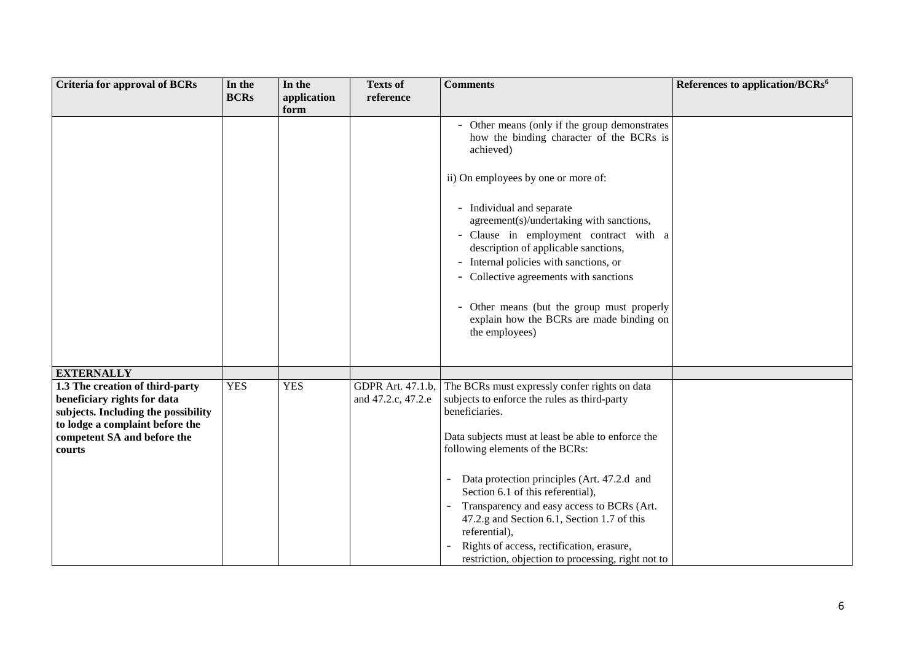| <b>Criteria for approval of BCRs</b>                                                                                                                                              | In the<br><b>BCRs</b> | In the<br>application | <b>Texts of</b><br>reference            | <b>Comments</b>                                                                                                                                                                                                                                                                                                                                                                                                                                                                                          | References to application/BCRs <sup>6</sup> |
|-----------------------------------------------------------------------------------------------------------------------------------------------------------------------------------|-----------------------|-----------------------|-----------------------------------------|----------------------------------------------------------------------------------------------------------------------------------------------------------------------------------------------------------------------------------------------------------------------------------------------------------------------------------------------------------------------------------------------------------------------------------------------------------------------------------------------------------|---------------------------------------------|
|                                                                                                                                                                                   |                       | form                  |                                         |                                                                                                                                                                                                                                                                                                                                                                                                                                                                                                          |                                             |
|                                                                                                                                                                                   |                       |                       |                                         | - Other means (only if the group demonstrates<br>how the binding character of the BCRs is<br>achieved)<br>ii) On employees by one or more of:<br>- Individual and separate<br>agreement(s)/undertaking with sanctions,<br>- Clause in employment contract with a<br>description of applicable sanctions,<br>- Internal policies with sanctions, or<br>- Collective agreements with sanctions<br>- Other means (but the group must properly<br>explain how the BCRs are made binding on<br>the employees) |                                             |
|                                                                                                                                                                                   |                       |                       |                                         |                                                                                                                                                                                                                                                                                                                                                                                                                                                                                                          |                                             |
|                                                                                                                                                                                   |                       |                       |                                         |                                                                                                                                                                                                                                                                                                                                                                                                                                                                                                          |                                             |
| <b>EXTERNALLY</b>                                                                                                                                                                 |                       |                       |                                         |                                                                                                                                                                                                                                                                                                                                                                                                                                                                                                          |                                             |
| 1.3 The creation of third-party<br>beneficiary rights for data<br>subjects. Including the possibility<br>to lodge a complaint before the<br>competent SA and before the<br>courts | <b>YES</b>            | <b>YES</b>            | GDPR Art. 47.1.b,<br>and 47.2.c, 47.2.e | The BCRs must expressly confer rights on data<br>subjects to enforce the rules as third-party<br>beneficiaries.<br>Data subjects must at least be able to enforce the<br>following elements of the BCRs:<br>Data protection principles (Art. 47.2.d and<br>Section 6.1 of this referential),<br>Transparency and easy access to BCRs (Art.<br>47.2.g and Section 6.1, Section 1.7 of this<br>referential),<br>Rights of access, rectification, erasure,                                                  |                                             |
|                                                                                                                                                                                   |                       |                       |                                         | restriction, objection to processing, right not to                                                                                                                                                                                                                                                                                                                                                                                                                                                       |                                             |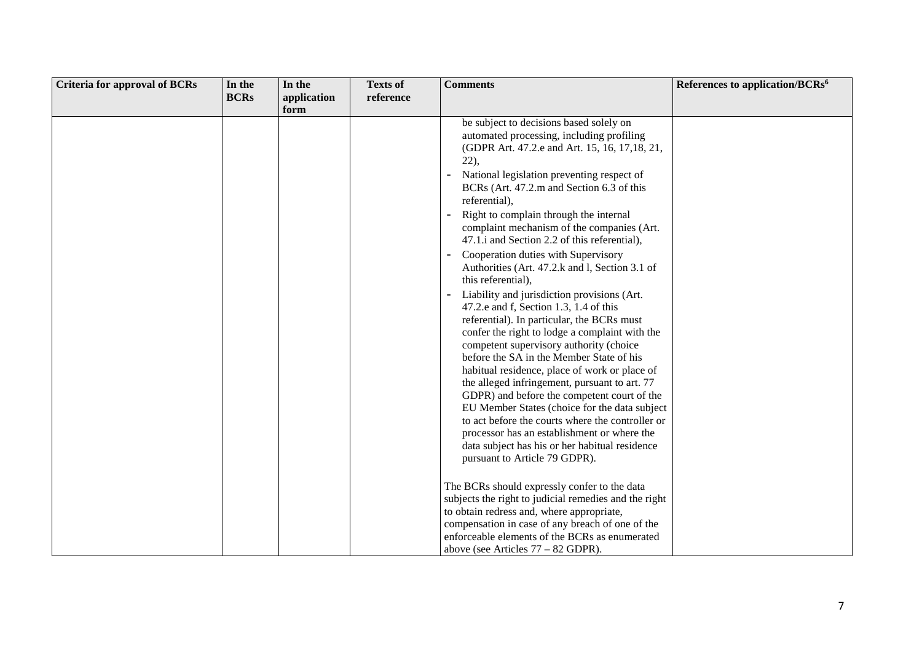| <b>Criteria for approval of BCRs</b> | In the      | In the              | <b>Texts of</b> | <b>Comments</b>                                                                                                                                                                                                                                                                                                                                                                                                                                                                                                                                                                                                                                                      | References to application/BCRs <sup>6</sup> |
|--------------------------------------|-------------|---------------------|-----------------|----------------------------------------------------------------------------------------------------------------------------------------------------------------------------------------------------------------------------------------------------------------------------------------------------------------------------------------------------------------------------------------------------------------------------------------------------------------------------------------------------------------------------------------------------------------------------------------------------------------------------------------------------------------------|---------------------------------------------|
|                                      | <b>BCRs</b> | application<br>form | reference       |                                                                                                                                                                                                                                                                                                                                                                                                                                                                                                                                                                                                                                                                      |                                             |
|                                      |             |                     |                 | be subject to decisions based solely on<br>automated processing, including profiling<br>(GDPR Art. 47.2.e and Art. 15, 16, 17, 18, 21,<br>22,<br>National legislation preventing respect of<br>BCRs (Art. 47.2.m and Section 6.3 of this<br>referential),                                                                                                                                                                                                                                                                                                                                                                                                            |                                             |
|                                      |             |                     |                 | Right to complain through the internal<br>complaint mechanism of the companies (Art.<br>47.1.i and Section 2.2 of this referential),                                                                                                                                                                                                                                                                                                                                                                                                                                                                                                                                 |                                             |
|                                      |             |                     |                 | Cooperation duties with Supervisory<br>Authorities (Art. 47.2.k and l, Section 3.1 of<br>this referential),                                                                                                                                                                                                                                                                                                                                                                                                                                                                                                                                                          |                                             |
|                                      |             |                     |                 | Liability and jurisdiction provisions (Art.<br>47.2.e and f, Section 1.3, 1.4 of this<br>referential). In particular, the BCRs must<br>confer the right to lodge a complaint with the<br>competent supervisory authority (choice<br>before the SA in the Member State of his<br>habitual residence, place of work or place of<br>the alleged infringement, pursuant to art. 77<br>GDPR) and before the competent court of the<br>EU Member States (choice for the data subject<br>to act before the courts where the controller or<br>processor has an establishment or where the<br>data subject has his or her habitual residence<br>pursuant to Article 79 GDPR). |                                             |
|                                      |             |                     |                 | The BCRs should expressly confer to the data<br>subjects the right to judicial remedies and the right<br>to obtain redress and, where appropriate,<br>compensation in case of any breach of one of the<br>enforceable elements of the BCRs as enumerated<br>above (see Articles $77 - 82$ GDPR).                                                                                                                                                                                                                                                                                                                                                                     |                                             |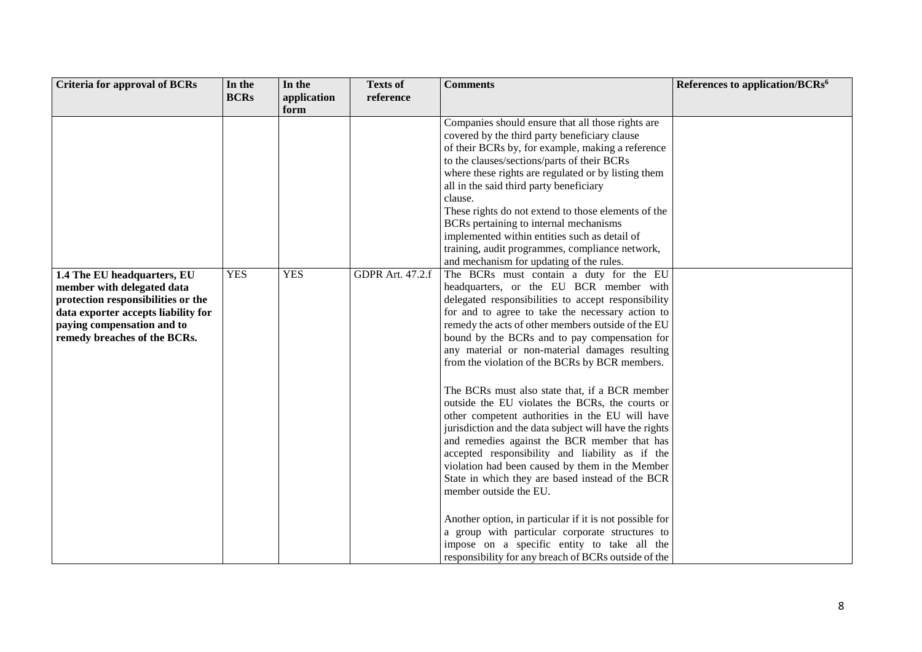| <b>Criteria for approval of BCRs</b>                                                                                                                                                                 | In the      | In the      | <b>Texts of</b>         | <b>Comments</b>                                                                                                                                                                                                                                                                                                                                                                                                                                                                                                                                                                                                                                                                                                                                                                                                                      | References to application/BCRs <sup>6</sup> |
|------------------------------------------------------------------------------------------------------------------------------------------------------------------------------------------------------|-------------|-------------|-------------------------|--------------------------------------------------------------------------------------------------------------------------------------------------------------------------------------------------------------------------------------------------------------------------------------------------------------------------------------------------------------------------------------------------------------------------------------------------------------------------------------------------------------------------------------------------------------------------------------------------------------------------------------------------------------------------------------------------------------------------------------------------------------------------------------------------------------------------------------|---------------------------------------------|
|                                                                                                                                                                                                      | <b>BCRs</b> | application | reference               |                                                                                                                                                                                                                                                                                                                                                                                                                                                                                                                                                                                                                                                                                                                                                                                                                                      |                                             |
|                                                                                                                                                                                                      |             | form        |                         |                                                                                                                                                                                                                                                                                                                                                                                                                                                                                                                                                                                                                                                                                                                                                                                                                                      |                                             |
|                                                                                                                                                                                                      |             |             |                         | Companies should ensure that all those rights are<br>covered by the third party beneficiary clause<br>of their BCRs by, for example, making a reference<br>to the clauses/sections/parts of their BCRs<br>where these rights are regulated or by listing them<br>all in the said third party beneficiary<br>clause.<br>These rights do not extend to those elements of the<br>BCRs pertaining to internal mechanisms<br>implemented within entities such as detail of<br>training, audit programmes, compliance network,<br>and mechanism for updating of the rules.                                                                                                                                                                                                                                                                 |                                             |
| 1.4 The EU headquarters, EU<br>member with delegated data<br>protection responsibilities or the<br>data exporter accepts liability for<br>paying compensation and to<br>remedy breaches of the BCRs. | <b>YES</b>  | <b>YES</b>  | <b>GDPR</b> Art. 47.2.f | The BCRs must contain a duty for the EU<br>headquarters, or the EU BCR member with<br>delegated responsibilities to accept responsibility<br>for and to agree to take the necessary action to<br>remedy the acts of other members outside of the EU<br>bound by the BCRs and to pay compensation for<br>any material or non-material damages resulting<br>from the violation of the BCRs by BCR members.<br>The BCRs must also state that, if a BCR member<br>outside the EU violates the BCRs, the courts or<br>other competent authorities in the EU will have<br>jurisdiction and the data subject will have the rights<br>and remedies against the BCR member that has<br>accepted responsibility and liability as if the<br>violation had been caused by them in the Member<br>State in which they are based instead of the BCR |                                             |
|                                                                                                                                                                                                      |             |             |                         | member outside the EU.<br>Another option, in particular if it is not possible for<br>a group with particular corporate structures to<br>impose on a specific entity to take all the<br>responsibility for any breach of BCRs outside of the                                                                                                                                                                                                                                                                                                                                                                                                                                                                                                                                                                                          |                                             |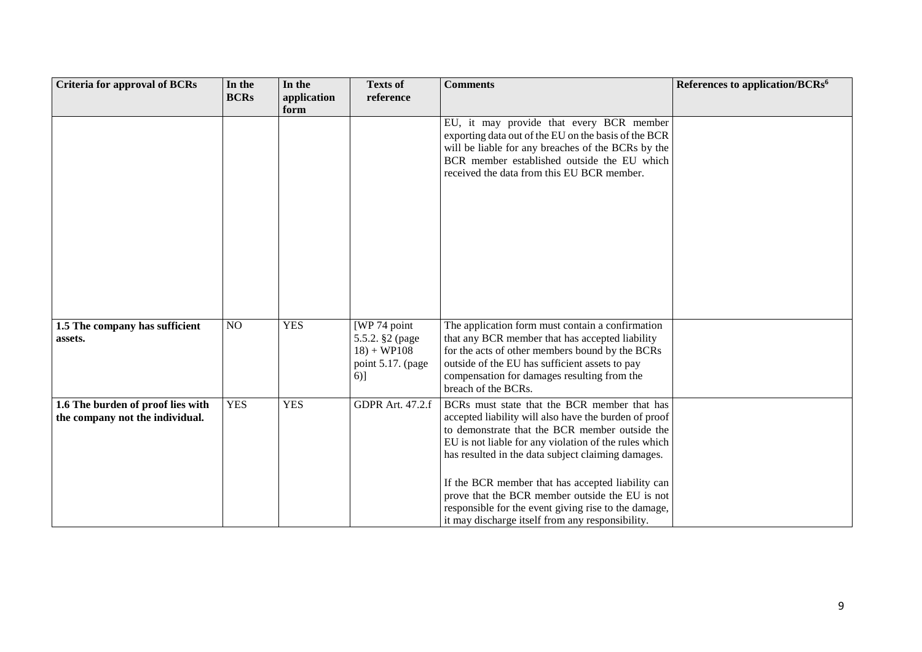| <b>Criteria for approval of BCRs</b>                                 | In the         | In the              | <b>Texts of</b>                                                                 | <b>Comments</b>                                                                                                                                                                                                                                                                                                                                                                                                                                                                            | References to application/BCRs <sup>6</sup> |
|----------------------------------------------------------------------|----------------|---------------------|---------------------------------------------------------------------------------|--------------------------------------------------------------------------------------------------------------------------------------------------------------------------------------------------------------------------------------------------------------------------------------------------------------------------------------------------------------------------------------------------------------------------------------------------------------------------------------------|---------------------------------------------|
|                                                                      | <b>BCRs</b>    | application<br>form | reference                                                                       |                                                                                                                                                                                                                                                                                                                                                                                                                                                                                            |                                             |
|                                                                      |                |                     |                                                                                 | EU, it may provide that every BCR member<br>exporting data out of the EU on the basis of the BCR<br>will be liable for any breaches of the BCRs by the<br>BCR member established outside the EU which<br>received the data from this EU BCR member.                                                                                                                                                                                                                                        |                                             |
| 1.5 The company has sufficient<br>assets.                            | N <sub>O</sub> | <b>YES</b>          | [WP 74 point<br>5.5.2. §2 (page<br>$18) + WP108$<br>point 5.17. (page<br>$6)$ ] | The application form must contain a confirmation<br>that any BCR member that has accepted liability<br>for the acts of other members bound by the BCRs<br>outside of the EU has sufficient assets to pay<br>compensation for damages resulting from the<br>breach of the BCRs.                                                                                                                                                                                                             |                                             |
| 1.6 The burden of proof lies with<br>the company not the individual. | <b>YES</b>     | <b>YES</b>          | <b>GDPR Art. 47.2.f</b>                                                         | BCRs must state that the BCR member that has<br>accepted liability will also have the burden of proof<br>to demonstrate that the BCR member outside the<br>EU is not liable for any violation of the rules which<br>has resulted in the data subject claiming damages.<br>If the BCR member that has accepted liability can<br>prove that the BCR member outside the EU is not<br>responsible for the event giving rise to the damage,<br>it may discharge itself from any responsibility. |                                             |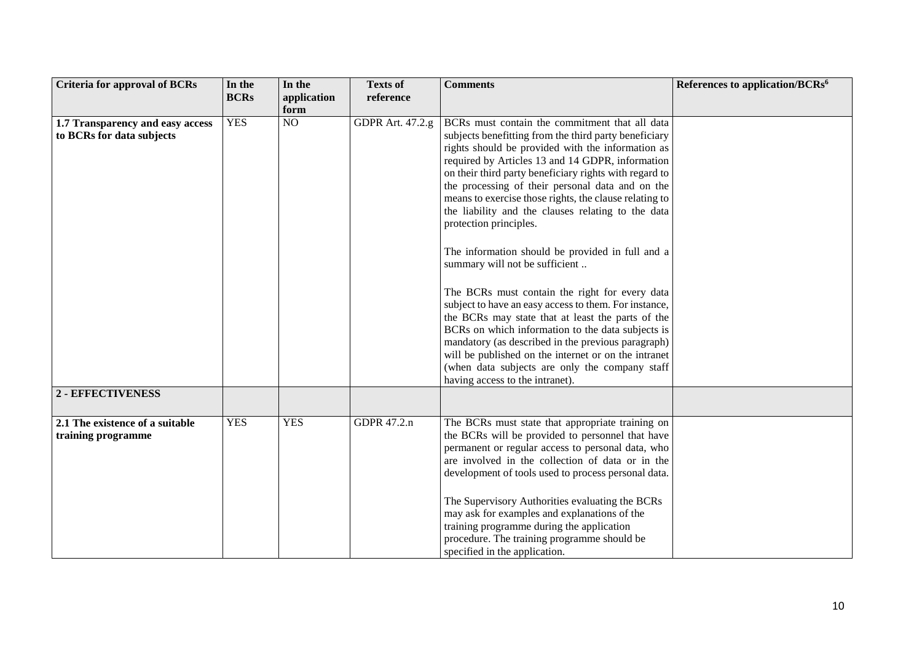| <b>Criteria for approval of BCRs</b>                          | In the      | In the      | <b>Texts of</b>         | <b>Comments</b>                                                                                                                                                                                                                                                                                                                                                                                                                                                                                                                                                                                                                                                                                                                                                                                                                                                                                                                                                                        | References to application/BCRs <sup>6</sup> |
|---------------------------------------------------------------|-------------|-------------|-------------------------|----------------------------------------------------------------------------------------------------------------------------------------------------------------------------------------------------------------------------------------------------------------------------------------------------------------------------------------------------------------------------------------------------------------------------------------------------------------------------------------------------------------------------------------------------------------------------------------------------------------------------------------------------------------------------------------------------------------------------------------------------------------------------------------------------------------------------------------------------------------------------------------------------------------------------------------------------------------------------------------|---------------------------------------------|
|                                                               | <b>BCRs</b> | application | reference               |                                                                                                                                                                                                                                                                                                                                                                                                                                                                                                                                                                                                                                                                                                                                                                                                                                                                                                                                                                                        |                                             |
|                                                               |             | form        |                         |                                                                                                                                                                                                                                                                                                                                                                                                                                                                                                                                                                                                                                                                                                                                                                                                                                                                                                                                                                                        |                                             |
| 1.7 Transparency and easy access<br>to BCRs for data subjects | <b>YES</b>  | NO          | <b>GDPR</b> Art. 47.2.g | BCRs must contain the commitment that all data<br>subjects benefitting from the third party beneficiary<br>rights should be provided with the information as<br>required by Articles 13 and 14 GDPR, information<br>on their third party beneficiary rights with regard to<br>the processing of their personal data and on the<br>means to exercise those rights, the clause relating to<br>the liability and the clauses relating to the data<br>protection principles.<br>The information should be provided in full and a<br>summary will not be sufficient<br>The BCRs must contain the right for every data<br>subject to have an easy access to them. For instance,<br>the BCRs may state that at least the parts of the<br>BCRs on which information to the data subjects is<br>mandatory (as described in the previous paragraph)<br>will be published on the internet or on the intranet<br>(when data subjects are only the company staff<br>having access to the intranet). |                                             |
| 2 - EFFECTIVENESS                                             |             |             |                         |                                                                                                                                                                                                                                                                                                                                                                                                                                                                                                                                                                                                                                                                                                                                                                                                                                                                                                                                                                                        |                                             |
|                                                               |             |             |                         |                                                                                                                                                                                                                                                                                                                                                                                                                                                                                                                                                                                                                                                                                                                                                                                                                                                                                                                                                                                        |                                             |
| 2.1 The existence of a suitable<br>training programme         | <b>YES</b>  | <b>YES</b>  | GDPR 47.2.n             | The BCRs must state that appropriate training on<br>the BCRs will be provided to personnel that have<br>permanent or regular access to personal data, who<br>are involved in the collection of data or in the<br>development of tools used to process personal data.<br>The Supervisory Authorities evaluating the BCRs<br>may ask for examples and explanations of the<br>training programme during the application<br>procedure. The training programme should be<br>specified in the application.                                                                                                                                                                                                                                                                                                                                                                                                                                                                                   |                                             |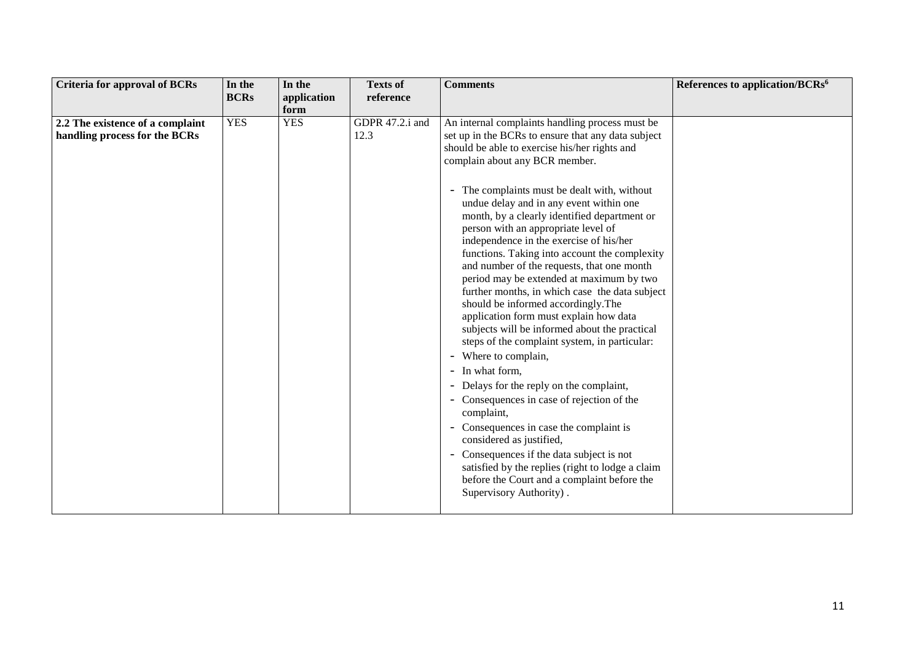| <b>Criteria for approval of BCRs</b> | In the      | In the      | <b>Texts of</b> | <b>Comments</b>                                               | References to application/BCRs <sup>6</sup> |
|--------------------------------------|-------------|-------------|-----------------|---------------------------------------------------------------|---------------------------------------------|
|                                      | <b>BCRs</b> | application | reference       |                                                               |                                             |
|                                      |             | form        |                 |                                                               |                                             |
| 2.2 The existence of a complaint     | <b>YES</b>  | <b>YES</b>  | GDPR 47.2.i and | An internal complaints handling process must be               |                                             |
| handling process for the BCRs        |             |             | 12.3            | set up in the BCRs to ensure that any data subject            |                                             |
|                                      |             |             |                 | should be able to exercise his/her rights and                 |                                             |
|                                      |             |             |                 | complain about any BCR member.                                |                                             |
|                                      |             |             |                 |                                                               |                                             |
|                                      |             |             |                 | The complaints must be dealt with, without<br>$\blacksquare$  |                                             |
|                                      |             |             |                 | undue delay and in any event within one                       |                                             |
|                                      |             |             |                 | month, by a clearly identified department or                  |                                             |
|                                      |             |             |                 | person with an appropriate level of                           |                                             |
|                                      |             |             |                 | independence in the exercise of his/her                       |                                             |
|                                      |             |             |                 | functions. Taking into account the complexity                 |                                             |
|                                      |             |             |                 | and number of the requests, that one month                    |                                             |
|                                      |             |             |                 | period may be extended at maximum by two                      |                                             |
|                                      |             |             |                 | further months, in which case the data subject                |                                             |
|                                      |             |             |                 | should be informed accordingly. The                           |                                             |
|                                      |             |             |                 | application form must explain how data                        |                                             |
|                                      |             |             |                 | subjects will be informed about the practical                 |                                             |
|                                      |             |             |                 | steps of the complaint system, in particular:                 |                                             |
|                                      |             |             |                 | Where to complain,<br>$\overline{\phantom{a}}$                |                                             |
|                                      |             |             |                 | In what form.<br>$\blacksquare$                               |                                             |
|                                      |             |             |                 | Delays for the reply on the complaint,<br>$\qquad \qquad -$   |                                             |
|                                      |             |             |                 | Consequences in case of rejection of the<br>$-$<br>complaint, |                                             |
|                                      |             |             |                 | - Consequences in case the complaint is                       |                                             |
|                                      |             |             |                 | considered as justified,                                      |                                             |
|                                      |             |             |                 | Consequences if the data subject is not<br>$\sim$             |                                             |
|                                      |             |             |                 | satisfied by the replies (right to lodge a claim              |                                             |
|                                      |             |             |                 | before the Court and a complaint before the                   |                                             |
|                                      |             |             |                 | Supervisory Authority).                                       |                                             |
|                                      |             |             |                 |                                                               |                                             |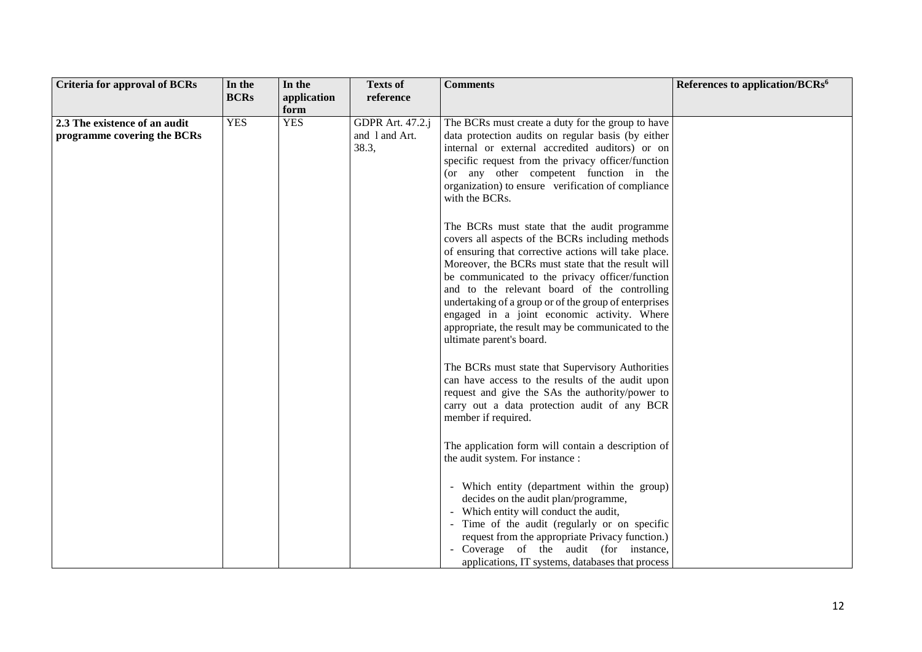| <b>Criteria for approval of BCRs</b> | In the      | In the      | <b>Texts of</b>  | <b>Comments</b>                                       | References to application/BCRs <sup>6</sup> |
|--------------------------------------|-------------|-------------|------------------|-------------------------------------------------------|---------------------------------------------|
|                                      | <b>BCRs</b> | application | reference        |                                                       |                                             |
|                                      |             | form        |                  |                                                       |                                             |
| 2.3 The existence of an audit        | <b>YES</b>  | <b>YES</b>  | GDPR Art. 47.2.j | The BCRs must create a duty for the group to have     |                                             |
| programme covering the BCRs          |             |             | and 1 and Art.   | data protection audits on regular basis (by either    |                                             |
|                                      |             |             | 38.3,            | internal or external accredited auditors) or on       |                                             |
|                                      |             |             |                  | specific request from the privacy officer/function    |                                             |
|                                      |             |             |                  | (or any other competent function in the               |                                             |
|                                      |             |             |                  | organization) to ensure verification of compliance    |                                             |
|                                      |             |             |                  | with the BCRs.                                        |                                             |
|                                      |             |             |                  |                                                       |                                             |
|                                      |             |             |                  | The BCRs must state that the audit programme          |                                             |
|                                      |             |             |                  | covers all aspects of the BCRs including methods      |                                             |
|                                      |             |             |                  | of ensuring that corrective actions will take place.  |                                             |
|                                      |             |             |                  | Moreover, the BCRs must state that the result will    |                                             |
|                                      |             |             |                  | be communicated to the privacy officer/function       |                                             |
|                                      |             |             |                  | and to the relevant board of the controlling          |                                             |
|                                      |             |             |                  | undertaking of a group or of the group of enterprises |                                             |
|                                      |             |             |                  | engaged in a joint economic activity. Where           |                                             |
|                                      |             |             |                  | appropriate, the result may be communicated to the    |                                             |
|                                      |             |             |                  | ultimate parent's board.                              |                                             |
|                                      |             |             |                  |                                                       |                                             |
|                                      |             |             |                  | The BCRs must state that Supervisory Authorities      |                                             |
|                                      |             |             |                  | can have access to the results of the audit upon      |                                             |
|                                      |             |             |                  | request and give the SAs the authority/power to       |                                             |
|                                      |             |             |                  | carry out a data protection audit of any BCR          |                                             |
|                                      |             |             |                  | member if required.                                   |                                             |
|                                      |             |             |                  |                                                       |                                             |
|                                      |             |             |                  | The application form will contain a description of    |                                             |
|                                      |             |             |                  | the audit system. For instance :                      |                                             |
|                                      |             |             |                  |                                                       |                                             |
|                                      |             |             |                  | - Which entity (department within the group)          |                                             |
|                                      |             |             |                  | decides on the audit plan/programme,                  |                                             |
|                                      |             |             |                  | - Which entity will conduct the audit,                |                                             |
|                                      |             |             |                  | - Time of the audit (regularly or on specific         |                                             |
|                                      |             |             |                  | request from the appropriate Privacy function.)       |                                             |
|                                      |             |             |                  | - Coverage of the audit (for instance,                |                                             |
|                                      |             |             |                  | applications, IT systems, databases that process      |                                             |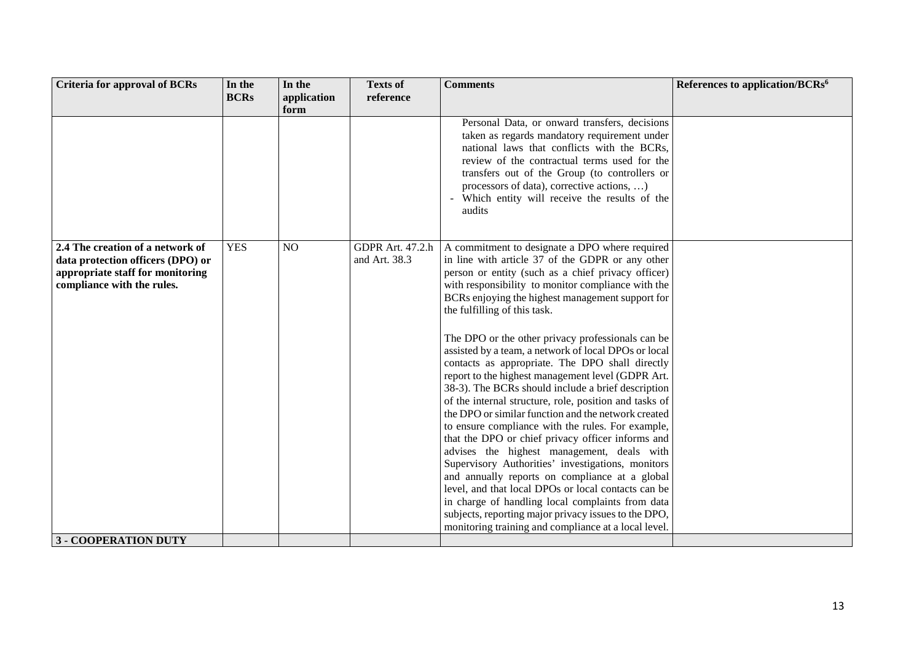| <b>Criteria for approval of BCRs</b>                                                                                                    | In the      | In the         | <b>Texts of</b>                          | <b>Comments</b>                                                                                                                                                                                                                                                                                                                                                                                                                                                                                                                                                                                                                                                                                                                                                                                                                                                                    | References to application/BCRs <sup>6</sup> |
|-----------------------------------------------------------------------------------------------------------------------------------------|-------------|----------------|------------------------------------------|------------------------------------------------------------------------------------------------------------------------------------------------------------------------------------------------------------------------------------------------------------------------------------------------------------------------------------------------------------------------------------------------------------------------------------------------------------------------------------------------------------------------------------------------------------------------------------------------------------------------------------------------------------------------------------------------------------------------------------------------------------------------------------------------------------------------------------------------------------------------------------|---------------------------------------------|
|                                                                                                                                         | <b>BCRs</b> | application    | reference                                |                                                                                                                                                                                                                                                                                                                                                                                                                                                                                                                                                                                                                                                                                                                                                                                                                                                                                    |                                             |
|                                                                                                                                         |             | form           |                                          |                                                                                                                                                                                                                                                                                                                                                                                                                                                                                                                                                                                                                                                                                                                                                                                                                                                                                    |                                             |
|                                                                                                                                         |             |                |                                          | Personal Data, or onward transfers, decisions<br>taken as regards mandatory requirement under<br>national laws that conflicts with the BCRs,<br>review of the contractual terms used for the<br>transfers out of the Group (to controllers or<br>processors of data), corrective actions, )<br>Which entity will receive the results of the<br>audits                                                                                                                                                                                                                                                                                                                                                                                                                                                                                                                              |                                             |
| 2.4 The creation of a network of<br>data protection officers (DPO) or<br>appropriate staff for monitoring<br>compliance with the rules. | <b>YES</b>  | N <sub>O</sub> | <b>GDPR Art. 47.2.h</b><br>and Art. 38.3 | A commitment to designate a DPO where required<br>in line with article 37 of the GDPR or any other<br>person or entity (such as a chief privacy officer)<br>with responsibility to monitor compliance with the<br>BCRs enjoying the highest management support for<br>the fulfilling of this task.                                                                                                                                                                                                                                                                                                                                                                                                                                                                                                                                                                                 |                                             |
|                                                                                                                                         |             |                |                                          | The DPO or the other privacy professionals can be<br>assisted by a team, a network of local DPOs or local<br>contacts as appropriate. The DPO shall directly<br>report to the highest management level (GDPR Art.<br>38-3). The BCRs should include a brief description<br>of the internal structure, role, position and tasks of<br>the DPO or similar function and the network created<br>to ensure compliance with the rules. For example,<br>that the DPO or chief privacy officer informs and<br>advises the highest management, deals with<br>Supervisory Authorities' investigations, monitors<br>and annually reports on compliance at a global<br>level, and that local DPOs or local contacts can be<br>in charge of handling local complaints from data<br>subjects, reporting major privacy issues to the DPO,<br>monitoring training and compliance at a local level. |                                             |
| <b>3 - COOPERATION DUTY</b>                                                                                                             |             |                |                                          |                                                                                                                                                                                                                                                                                                                                                                                                                                                                                                                                                                                                                                                                                                                                                                                                                                                                                    |                                             |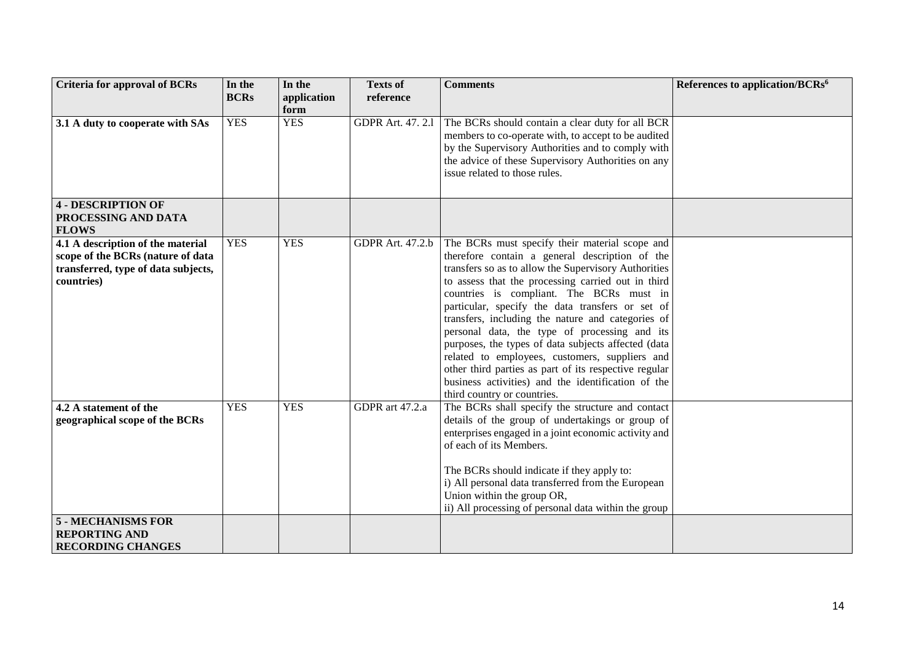| <b>Criteria for approval of BCRs</b> | In the      | In the      | <b>Texts of</b>         | <b>Comments</b>                                                                                         | References to application/BCRs <sup>6</sup> |
|--------------------------------------|-------------|-------------|-------------------------|---------------------------------------------------------------------------------------------------------|---------------------------------------------|
|                                      | <b>BCRs</b> | application | reference               |                                                                                                         |                                             |
|                                      |             | form        |                         |                                                                                                         |                                             |
| 3.1 A duty to cooperate with SAs     | <b>YES</b>  | <b>YES</b>  | <b>GDPR Art. 47.2.1</b> | The BCRs should contain a clear duty for all BCR                                                        |                                             |
|                                      |             |             |                         | members to co-operate with, to accept to be audited                                                     |                                             |
|                                      |             |             |                         | by the Supervisory Authorities and to comply with                                                       |                                             |
|                                      |             |             |                         | the advice of these Supervisory Authorities on any                                                      |                                             |
|                                      |             |             |                         | issue related to those rules.                                                                           |                                             |
|                                      |             |             |                         |                                                                                                         |                                             |
| <b>4 - DESCRIPTION OF</b>            |             |             |                         |                                                                                                         |                                             |
| PROCESSING AND DATA                  |             |             |                         |                                                                                                         |                                             |
| <b>FLOWS</b>                         |             |             |                         |                                                                                                         |                                             |
| 4.1 A description of the material    | <b>YES</b>  | <b>YES</b>  | <b>GDPR Art. 47.2.b</b> | The BCRs must specify their material scope and                                                          |                                             |
| scope of the BCRs (nature of data    |             |             |                         | therefore contain a general description of the                                                          |                                             |
| transferred, type of data subjects,  |             |             |                         | transfers so as to allow the Supervisory Authorities                                                    |                                             |
| countries)                           |             |             |                         | to assess that the processing carried out in third                                                      |                                             |
|                                      |             |             |                         | countries is compliant. The BCRs must in                                                                |                                             |
|                                      |             |             |                         | particular, specify the data transfers or set of                                                        |                                             |
|                                      |             |             |                         | transfers, including the nature and categories of                                                       |                                             |
|                                      |             |             |                         | personal data, the type of processing and its                                                           |                                             |
|                                      |             |             |                         | purposes, the types of data subjects affected (data                                                     |                                             |
|                                      |             |             |                         | related to employees, customers, suppliers and<br>other third parties as part of its respective regular |                                             |
|                                      |             |             |                         | business activities) and the identification of the                                                      |                                             |
|                                      |             |             |                         | third country or countries.                                                                             |                                             |
| 4.2 A statement of the               | <b>YES</b>  | <b>YES</b>  | GDPR art 47.2.a         | The BCRs shall specify the structure and contact                                                        |                                             |
| geographical scope of the BCRs       |             |             |                         | details of the group of undertakings or group of                                                        |                                             |
|                                      |             |             |                         | enterprises engaged in a joint economic activity and                                                    |                                             |
|                                      |             |             |                         | of each of its Members.                                                                                 |                                             |
|                                      |             |             |                         |                                                                                                         |                                             |
|                                      |             |             |                         | The BCRs should indicate if they apply to:                                                              |                                             |
|                                      |             |             |                         | i) All personal data transferred from the European                                                      |                                             |
|                                      |             |             |                         | Union within the group OR,                                                                              |                                             |
|                                      |             |             |                         | ii) All processing of personal data within the group                                                    |                                             |
| <b>5 - MECHANISMS FOR</b>            |             |             |                         |                                                                                                         |                                             |
| <b>REPORTING AND</b>                 |             |             |                         |                                                                                                         |                                             |
| <b>RECORDING CHANGES</b>             |             |             |                         |                                                                                                         |                                             |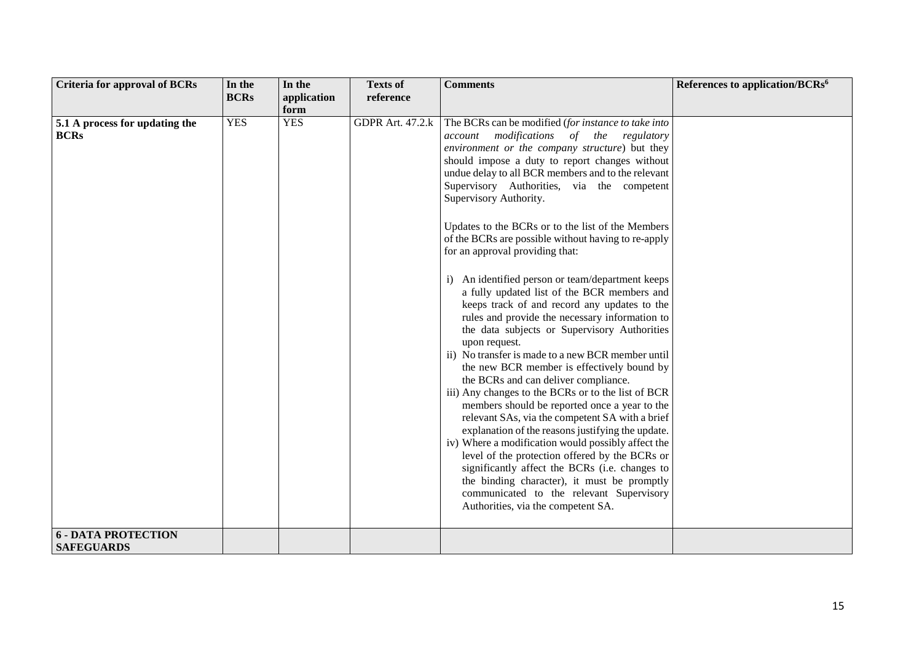| <b>Criteria for approval of BCRs</b>            | In the      | In the      | <b>Texts of</b>         | <b>Comments</b>                                                                                                                                                                                                                                                                                                                                                                                                                                                                                                                                                                                                                                                                                                                                                                                                                                                                                                                                                                                                                                                                                                                                                                                                                                                                                                                                                                                                  | References to application/BCRs <sup>6</sup> |
|-------------------------------------------------|-------------|-------------|-------------------------|------------------------------------------------------------------------------------------------------------------------------------------------------------------------------------------------------------------------------------------------------------------------------------------------------------------------------------------------------------------------------------------------------------------------------------------------------------------------------------------------------------------------------------------------------------------------------------------------------------------------------------------------------------------------------------------------------------------------------------------------------------------------------------------------------------------------------------------------------------------------------------------------------------------------------------------------------------------------------------------------------------------------------------------------------------------------------------------------------------------------------------------------------------------------------------------------------------------------------------------------------------------------------------------------------------------------------------------------------------------------------------------------------------------|---------------------------------------------|
|                                                 | <b>BCRs</b> | application | reference               |                                                                                                                                                                                                                                                                                                                                                                                                                                                                                                                                                                                                                                                                                                                                                                                                                                                                                                                                                                                                                                                                                                                                                                                                                                                                                                                                                                                                                  |                                             |
|                                                 |             | form        |                         |                                                                                                                                                                                                                                                                                                                                                                                                                                                                                                                                                                                                                                                                                                                                                                                                                                                                                                                                                                                                                                                                                                                                                                                                                                                                                                                                                                                                                  |                                             |
| 5.1 A process for updating the<br><b>BCRs</b>   | <b>YES</b>  | <b>YES</b>  | <b>GDPR Art. 47.2.k</b> | The BCRs can be modified (for instance to take into<br>modifications of the<br>regulatory<br>account<br>environment or the company structure) but they<br>should impose a duty to report changes without<br>undue delay to all BCR members and to the relevant<br>Supervisory Authorities, via the competent<br>Supervisory Authority.<br>Updates to the BCRs or to the list of the Members<br>of the BCRs are possible without having to re-apply<br>for an approval providing that:<br>i) An identified person or team/department keeps<br>a fully updated list of the BCR members and<br>keeps track of and record any updates to the<br>rules and provide the necessary information to<br>the data subjects or Supervisory Authorities<br>upon request.<br>ii) No transfer is made to a new BCR member until<br>the new BCR member is effectively bound by<br>the BCRs and can deliver compliance.<br>iii) Any changes to the BCRs or to the list of BCR<br>members should be reported once a year to the<br>relevant SAs, via the competent SA with a brief<br>explanation of the reasons justifying the update.<br>iv) Where a modification would possibly affect the<br>level of the protection offered by the BCRs or<br>significantly affect the BCRs (i.e. changes to<br>the binding character), it must be promptly<br>communicated to the relevant Supervisory<br>Authorities, via the competent SA. |                                             |
| <b>6 - DATA PROTECTION</b><br><b>SAFEGUARDS</b> |             |             |                         |                                                                                                                                                                                                                                                                                                                                                                                                                                                                                                                                                                                                                                                                                                                                                                                                                                                                                                                                                                                                                                                                                                                                                                                                                                                                                                                                                                                                                  |                                             |
|                                                 |             |             |                         |                                                                                                                                                                                                                                                                                                                                                                                                                                                                                                                                                                                                                                                                                                                                                                                                                                                                                                                                                                                                                                                                                                                                                                                                                                                                                                                                                                                                                  |                                             |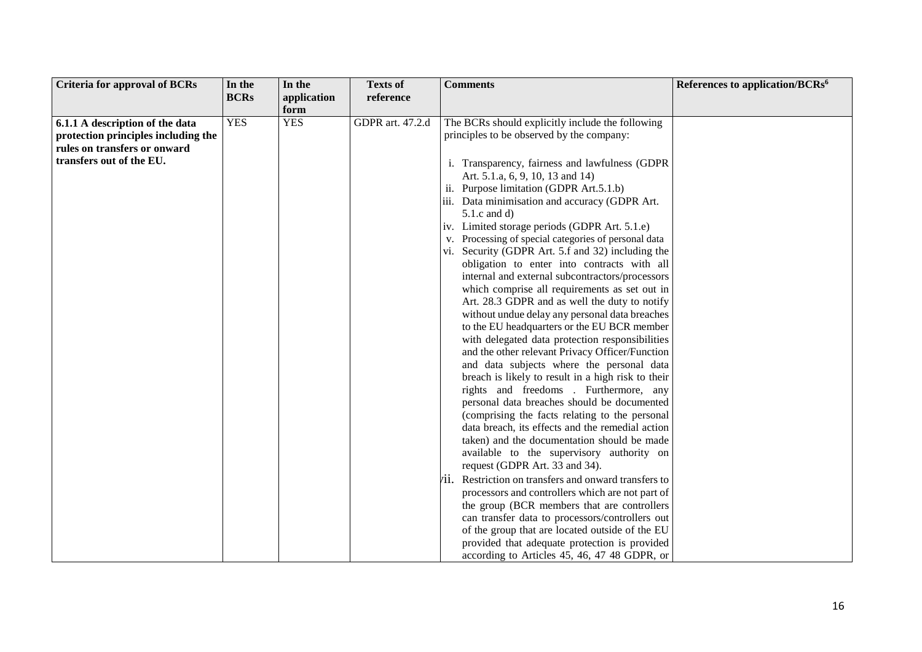| <b>Criteria for approval of BCRs</b> | In the      | In the      | <b>Texts of</b>  | <b>Comments</b>                                      | References to application/BCRs <sup>6</sup> |
|--------------------------------------|-------------|-------------|------------------|------------------------------------------------------|---------------------------------------------|
|                                      | <b>BCRs</b> | application | reference        |                                                      |                                             |
|                                      |             | form        |                  |                                                      |                                             |
| 6.1.1 A description of the data      | <b>YES</b>  | <b>YES</b>  | GDPR art. 47.2.d | The BCRs should explicitly include the following     |                                             |
| protection principles including the  |             |             |                  | principles to be observed by the company:            |                                             |
| rules on transfers or onward         |             |             |                  |                                                      |                                             |
| transfers out of the EU.             |             |             |                  | i. Transparency, fairness and lawfulness (GDPR       |                                             |
|                                      |             |             |                  | Art. 5.1.a, 6, 9, 10, 13 and 14)                     |                                             |
|                                      |             |             |                  | ii. Purpose limitation (GDPR Art.5.1.b)              |                                             |
|                                      |             |             |                  | iii. Data minimisation and accuracy (GDPR Art.       |                                             |
|                                      |             |             |                  | $5.1.c$ and d)                                       |                                             |
|                                      |             |             |                  | iv. Limited storage periods (GDPR Art. 5.1.e)        |                                             |
|                                      |             |             |                  | v. Processing of special categories of personal data |                                             |
|                                      |             |             |                  | vi. Security (GDPR Art. 5.f and 32) including the    |                                             |
|                                      |             |             |                  | obligation to enter into contracts with all          |                                             |
|                                      |             |             |                  | internal and external subcontractors/processors      |                                             |
|                                      |             |             |                  | which comprise all requirements as set out in        |                                             |
|                                      |             |             |                  | Art. 28.3 GDPR and as well the duty to notify        |                                             |
|                                      |             |             |                  | without undue delay any personal data breaches       |                                             |
|                                      |             |             |                  | to the EU headquarters or the EU BCR member          |                                             |
|                                      |             |             |                  | with delegated data protection responsibilities      |                                             |
|                                      |             |             |                  | and the other relevant Privacy Officer/Function      |                                             |
|                                      |             |             |                  | and data subjects where the personal data            |                                             |
|                                      |             |             |                  | breach is likely to result in a high risk to their   |                                             |
|                                      |             |             |                  | rights and freedoms . Furthermore, any               |                                             |
|                                      |             |             |                  | personal data breaches should be documented          |                                             |
|                                      |             |             |                  | (comprising the facts relating to the personal       |                                             |
|                                      |             |             |                  | data breach, its effects and the remedial action     |                                             |
|                                      |             |             |                  | taken) and the documentation should be made          |                                             |
|                                      |             |             |                  | available to the supervisory authority on            |                                             |
|                                      |             |             |                  | request (GDPR Art. 33 and 34).                       |                                             |
|                                      |             |             |                  | ii. Restriction on transfers and onward transfers to |                                             |
|                                      |             |             |                  | processors and controllers which are not part of     |                                             |
|                                      |             |             |                  | the group (BCR members that are controllers          |                                             |
|                                      |             |             |                  | can transfer data to processors/controllers out      |                                             |
|                                      |             |             |                  | of the group that are located outside of the EU      |                                             |
|                                      |             |             |                  | provided that adequate protection is provided        |                                             |
|                                      |             |             |                  | according to Articles 45, 46, 47 48 GDPR, or         |                                             |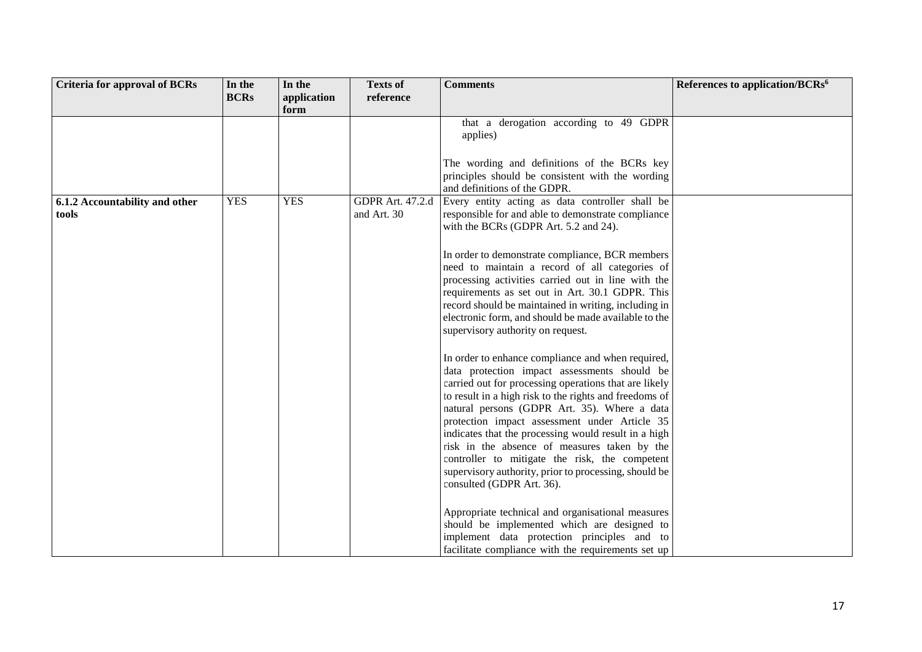| <b>Criteria for approval of BCRs</b> | In the      | In the      | <b>Texts of</b>         | <b>Comments</b>                                        | References to application/BCRs <sup>6</sup> |
|--------------------------------------|-------------|-------------|-------------------------|--------------------------------------------------------|---------------------------------------------|
|                                      | <b>BCRs</b> | application | reference               |                                                        |                                             |
|                                      |             | form        |                         |                                                        |                                             |
|                                      |             |             |                         | that a derogation according to 49 GDPR                 |                                             |
|                                      |             |             |                         | applies)                                               |                                             |
|                                      |             |             |                         |                                                        |                                             |
|                                      |             |             |                         | The wording and definitions of the BCRs key            |                                             |
|                                      |             |             |                         | principles should be consistent with the wording       |                                             |
|                                      |             |             |                         | and definitions of the GDPR.                           |                                             |
| 6.1.2 Accountability and other       | <b>YES</b>  | <b>YES</b>  | <b>GDPR Art. 47.2.d</b> | Every entity acting as data controller shall be        |                                             |
| tools                                |             |             | and Art. 30             | responsible for and able to demonstrate compliance     |                                             |
|                                      |             |             |                         | with the BCRs (GDPR Art. 5.2 and 24).                  |                                             |
|                                      |             |             |                         |                                                        |                                             |
|                                      |             |             |                         | In order to demonstrate compliance, BCR members        |                                             |
|                                      |             |             |                         | need to maintain a record of all categories of         |                                             |
|                                      |             |             |                         | processing activities carried out in line with the     |                                             |
|                                      |             |             |                         | requirements as set out in Art. 30.1 GDPR. This        |                                             |
|                                      |             |             |                         | record should be maintained in writing, including in   |                                             |
|                                      |             |             |                         | electronic form, and should be made available to the   |                                             |
|                                      |             |             |                         | supervisory authority on request.                      |                                             |
|                                      |             |             |                         |                                                        |                                             |
|                                      |             |             |                         | In order to enhance compliance and when required,      |                                             |
|                                      |             |             |                         | data protection impact assessments should be           |                                             |
|                                      |             |             |                         | carried out for processing operations that are likely  |                                             |
|                                      |             |             |                         | to result in a high risk to the rights and freedoms of |                                             |
|                                      |             |             |                         | natural persons (GDPR Art. 35). Where a data           |                                             |
|                                      |             |             |                         | protection impact assessment under Article 35          |                                             |
|                                      |             |             |                         | indicates that the processing would result in a high   |                                             |
|                                      |             |             |                         | risk in the absence of measures taken by the           |                                             |
|                                      |             |             |                         | controller to mitigate the risk, the competent         |                                             |
|                                      |             |             |                         | supervisory authority, prior to processing, should be  |                                             |
|                                      |             |             |                         | consulted (GDPR Art. 36).                              |                                             |
|                                      |             |             |                         | Appropriate technical and organisational measures      |                                             |
|                                      |             |             |                         | should be implemented which are designed to            |                                             |
|                                      |             |             |                         | implement data protection principles and to            |                                             |
|                                      |             |             |                         | facilitate compliance with the requirements set up     |                                             |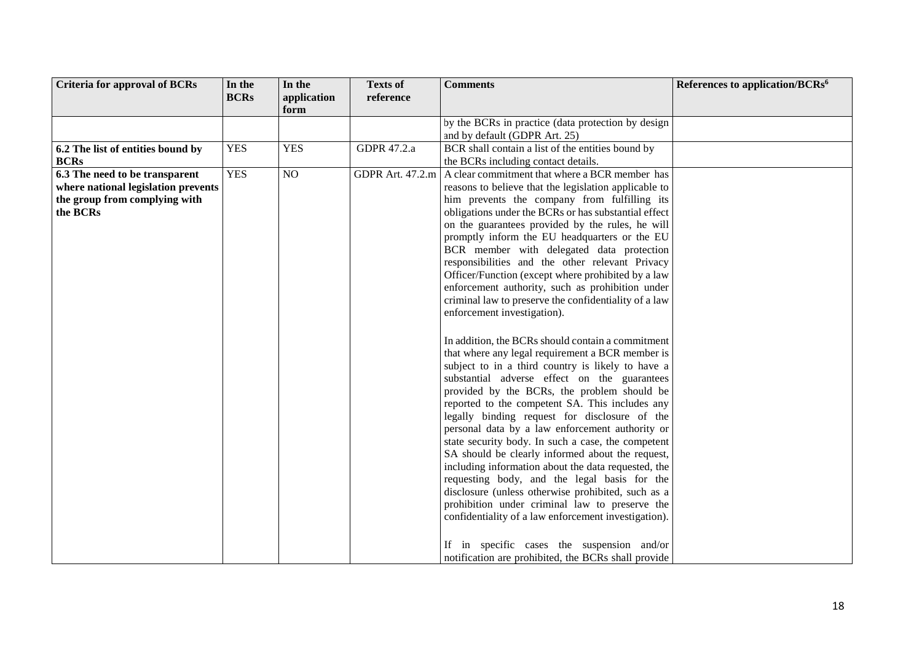| <b>Criteria for approval of BCRs</b> | In the      | In the              | <b>Texts of</b>  | <b>Comments</b>                                                                              | References to application/BCRs <sup>6</sup> |
|--------------------------------------|-------------|---------------------|------------------|----------------------------------------------------------------------------------------------|---------------------------------------------|
|                                      | <b>BCRs</b> | application<br>form | reference        |                                                                                              |                                             |
|                                      |             |                     |                  | by the BCRs in practice (data protection by design                                           |                                             |
|                                      |             |                     |                  | and by default (GDPR Art. 25)                                                                |                                             |
| 6.2 The list of entities bound by    | <b>YES</b>  | <b>YES</b>          | GDPR 47.2.a      | BCR shall contain a list of the entities bound by                                            |                                             |
| <b>BCRs</b>                          |             |                     |                  | the BCRs including contact details.                                                          |                                             |
| 6.3 The need to be transparent       | <b>YES</b>  | NO                  | GDPR Art. 47.2.m | A clear commitment that where a BCR member has                                               |                                             |
| where national legislation prevents  |             |                     |                  | reasons to believe that the legislation applicable to                                        |                                             |
| the group from complying with        |             |                     |                  | him prevents the company from fulfilling its                                                 |                                             |
| the BCRs                             |             |                     |                  | obligations under the BCRs or has substantial effect                                         |                                             |
|                                      |             |                     |                  | on the guarantees provided by the rules, he will                                             |                                             |
|                                      |             |                     |                  | promptly inform the EU headquarters or the EU                                                |                                             |
|                                      |             |                     |                  | BCR member with delegated data protection<br>responsibilities and the other relevant Privacy |                                             |
|                                      |             |                     |                  | Officer/Function (except where prohibited by a law                                           |                                             |
|                                      |             |                     |                  | enforcement authority, such as prohibition under                                             |                                             |
|                                      |             |                     |                  | criminal law to preserve the confidentiality of a law                                        |                                             |
|                                      |             |                     |                  | enforcement investigation).                                                                  |                                             |
|                                      |             |                     |                  |                                                                                              |                                             |
|                                      |             |                     |                  | In addition, the BCRs should contain a commitment                                            |                                             |
|                                      |             |                     |                  | that where any legal requirement a BCR member is                                             |                                             |
|                                      |             |                     |                  | subject to in a third country is likely to have a                                            |                                             |
|                                      |             |                     |                  | substantial adverse effect on the guarantees                                                 |                                             |
|                                      |             |                     |                  | provided by the BCRs, the problem should be                                                  |                                             |
|                                      |             |                     |                  | reported to the competent SA. This includes any                                              |                                             |
|                                      |             |                     |                  | legally binding request for disclosure of the                                                |                                             |
|                                      |             |                     |                  | personal data by a law enforcement authority or                                              |                                             |
|                                      |             |                     |                  | state security body. In such a case, the competent                                           |                                             |
|                                      |             |                     |                  | SA should be clearly informed about the request,                                             |                                             |
|                                      |             |                     |                  | including information about the data requested, the                                          |                                             |
|                                      |             |                     |                  | requesting body, and the legal basis for the                                                 |                                             |
|                                      |             |                     |                  | disclosure (unless otherwise prohibited, such as a                                           |                                             |
|                                      |             |                     |                  | prohibition under criminal law to preserve the                                               |                                             |
|                                      |             |                     |                  | confidentiality of a law enforcement investigation).                                         |                                             |
|                                      |             |                     |                  |                                                                                              |                                             |
|                                      |             |                     |                  | If in specific cases the suspension and/or                                                   |                                             |
|                                      |             |                     |                  | notification are prohibited, the BCRs shall provide                                          |                                             |